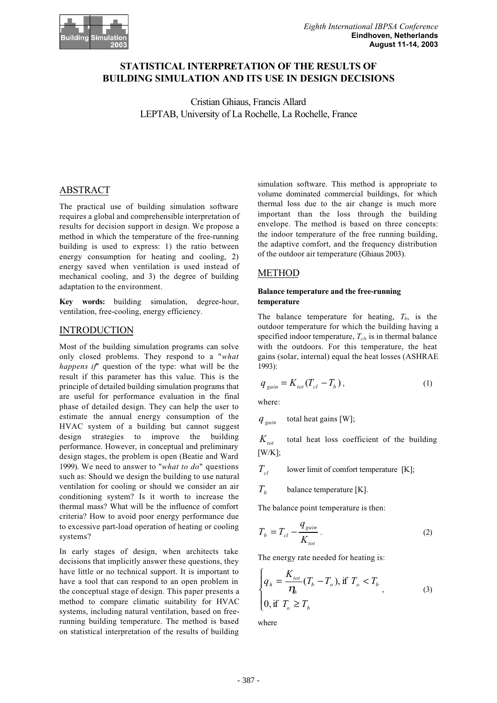

# **STATISTICAL INTERPRETATION OF THE RESULTS OF BUILDING SIMULATION AND ITS USE IN DESIGN DECISIONS**

Cristian Ghiaus, Francis Allard LEPTAB, University of La Rochelle, La Rochelle, France

# ABSTRACT

The practical use of building simulation software requires a global and comprehensible interpretation of results for decision support in design. We propose a method in which the temperature of the free-running building is used to express: 1) the ratio between energy consumption for heating and cooling, 2) energy saved when ventilation is used instead of mechanical cooling, and 3) the degree of building adaptation to the environment.

**Key words:** building simulation, degree-hour, ventilation, free-cooling, energy efficiency.

## **INTRODUCTION**

Most of the building simulation programs can solve only closed problems. They respond to a "*what happens if*" question of the type: what will be the result if this parameter has this value. This is the principle of detailed building simulation programs that are useful for performance evaluation in the final phase of detailed design. They can help the user to estimate the annual energy consumption of the HVAC system of a building but cannot suggest design strategies to improve the building performance. However, in conceptual and preliminary design stages, the problem is open (Beatie and Ward 1999). We need to answer to "*what to do*" questions such as: Should we design the building to use natural ventilation for cooling or should we consider an air conditioning system? Is it worth to increase the thermal mass? What will be the influence of comfort criteria? How to avoid poor energy performance due to excessive part-load operation of heating or cooling systems?

In early stages of design, when architects take decisions that implicitly answer these questions, they have little or no technical support. It is important to have a tool that can respond to an open problem in the conceptual stage of design. This paper presents a method to compare climatic suitability for HVAC systems, including natural ventilation, based on freerunning building temperature. The method is based on statistical interpretation of the results of building

simulation software. This method is appropriate to volume dominated commercial buildings, for which thermal loss due to the air change is much more important than the loss through the building envelope. The method is based on three concepts: the indoor temperature of the free running building, the adaptive comfort, and the frequency distribution of the outdoor air temperature (Ghiaus 2003).

## METHOD

### **Balance temperature and the free-running temperature**

The balance temperature for heating,  $T_b$ , is the outdoor temperature for which the building having a specified indoor temperature,  $T_{ch}$  is in thermal balance with the outdoors. For this temperature, the heat gains (solar, internal) equal the heat losses (ASHRAE 1993):

$$
q_{gain} = K_{tot}(T_{cl} - T_b),
$$
 (1)

where:

*gain q* total heat gains [W];

 $K_{tot}$  total heat loss coefficient of the building [W/K];

 $T_{cl}$  lower limit of comfort temperature [K];

 $T<sub>i</sub>$  balance temperature [K].

The balance point temperature is then:

$$
T_b = T_{cl} - \frac{q_{gain}}{K_{tot}}.
$$
\n<sup>(2)</sup>

The energy rate needed for heating is:

$$
\begin{cases}\n q_h = \frac{K_{tot}}{\eta_h} (T_b - T_o), \text{if } T_o < T_b \\
0, \text{if } T_o \ge T_b\n\end{cases}
$$
\n<sup>(3)</sup>

where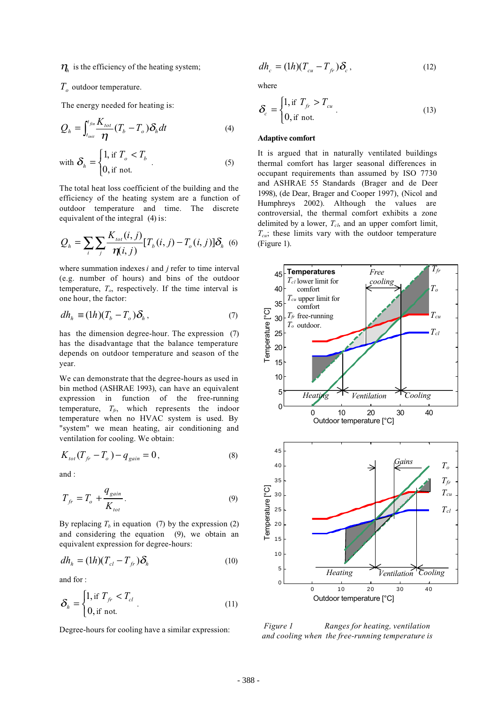$\eta$ <sub>h</sub> is the efficiency of the heating system;

## $T_{\text{o}}$  outdoor temperature.

The energy needed for heating is:

$$
Q_h = \int_{t_{init}}^{t_{fin}} \frac{K_{tot}}{\eta} (T_b - T_o) \delta_h dt
$$
 (4)

with 
$$
\delta_h = \begin{cases} 1, & \text{if } T_o < T_b \\ 0, & \text{if not.} \end{cases} . \tag{5}
$$

The total heat loss coefficient of the building and the efficiency of the heating system are a function of outdoor temperature and time. The discrete equivalent of the integral (4) is:

$$
Q_{h} = \sum_{i} \sum_{j} \frac{K_{tot}(i, j)}{\eta(i, j)} [T_{b}(i, j) - T_{c}(i, j)] \delta_{h}
$$
 (6)

where summation indexes *i* and *j* refer to time interval (e.g. number of hours) and bins of the outdoor temperature,  $T<sub>o</sub>$ , respectively. If the time interval is one hour, the factor:

$$
dh_h \equiv (1h)(T_b - T_o)\delta_h, \qquad (7)
$$

has the dimension degree-hour. The expression (7) has the disadvantage that the balance temperature depends on outdoor temperature and season of the year.

We can demonstrate that the degree-hours as used in bin method (ASHRAE 1993), can have an equivalent expression in function of the free-running temperature,  $T_f$ , which represents the indoor temperature when no HVAC system is used. By "system" we mean heating, air conditioning and ventilation for cooling. We obtain:

$$
K_{tot}(T_{fr} - T_o) - q_{gain} = 0, \t\t(8)
$$

and :

$$
T_{fr} = T_o + \frac{q_{gain}}{K_{tot}}.\tag{9}
$$

By replacing  $T<sub>b</sub>$  in equation (7) by the expression (2) and considering the equation (9), we obtain an equivalent expression for degree-hours:

$$
dh_h = (1h)(T_{cl} - T_{fr})\delta_h
$$
\n(10)

and for :

$$
\delta_h = \begin{cases} 1, \text{if } T_{fr} < T_{cl} \\ 0, \text{if not.} \end{cases} . \tag{11}
$$

Degree-hours for cooling have a similar expression:

$$
dh_c = (1h)(T_{cu} - T_{fr})\delta_c, \qquad (12)
$$

where

$$
\delta_c = \begin{cases} 1, \text{if } T_{fr} > T_{cu} \\ 0, \text{if not.} \end{cases} . \tag{13}
$$

#### **Adaptive comfort**

It is argued that in naturally ventilated buildings thermal comfort has larger seasonal differences in occupant requirements than assumed by ISO 7730 and ASHRAE 55 Standards (Brager and de Deer 1998), (de Dear, Brager and Cooper 1997), (Nicol and Humphreys 2002). Although the values are controversial, the thermal comfort exhibits a zone delimited by a lower,  $T_{ch}$  and an upper comfort limit,  $T_{cu}$ ; these limits vary with the outdoor temperature (Figure 1).



*Figure 1 Ranges for heating, ventilation and cooling when the free-running temperature is*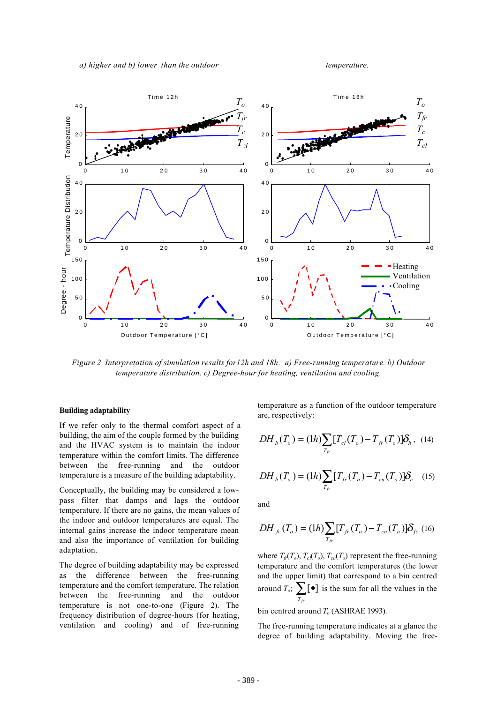

*Figure 2 Interpretation of simulation results for12h and 18h: a) Free-running temperature. b) Outdoor temperature distribution. c) Degree-hour for heating, ventilation and cooling.*

#### **Building adaptability**

If we refer only to the thermal comfort aspect of a building, the aim of the couple formed by the building and the HVAC system is to maintain the indoor temperature within the comfort limits. The difference between the free-running and the outdoor temperature is a measure of the building adaptability.

Conceptually, the building may be considered a lowpass filter that damps and lags the outdoor temperature. If there are no gains, the mean values of the indoor and outdoor temperatures are equal. The internal gains increase the indoor temperature mean and also the importance of ventilation for building adaptation.

The degree of building adaptability may be expressed as the difference between the free-running temperature and the comfort temperature. The relation between the free-running and the outdoor temperature is not one-to-one (Figure 2). The frequency distribution of degree-hours (for heating, ventilation and cooling) and of free-running temperature as a function of the outdoor temperature are, respectively:

$$
DH_h(T_o) = (1h) \sum_{T_{fr}} [T_{cl}(T_o) - T_{fr}(T_o)] \delta_h, \quad (14)
$$

$$
DH_{h}(T_{o}) = (1h) \sum_{T_{fr}} [T_{fr}(T_{o}) - T_{cu}(T_{o})] \delta_{c} \quad (15)
$$

and

$$
DH_{f_c}(T_o) = (1h) \sum_{T_{fr}} [T_{fr}(T_o) - T_{cu}(T_o)] \delta_{fc} \tag{16}
$$

where  $T_f(T_o)$ ,  $T_c(T_o)$ ,  $T_{cu}(T_o)$  represent the free-running temperature and the comfort temperatures (the lower and the upper limit) that correspond to a bin centred around  $T_o$ ;  $\sum_{T_{fr}}$   $\left[\bullet\right]$ [ ] is the sum for all the values in the

bin centred around  $T<sub>o</sub>$  (ASHRAE 1993).

The free-running temperature indicates at a glance the degree of building adaptability. Moving the free